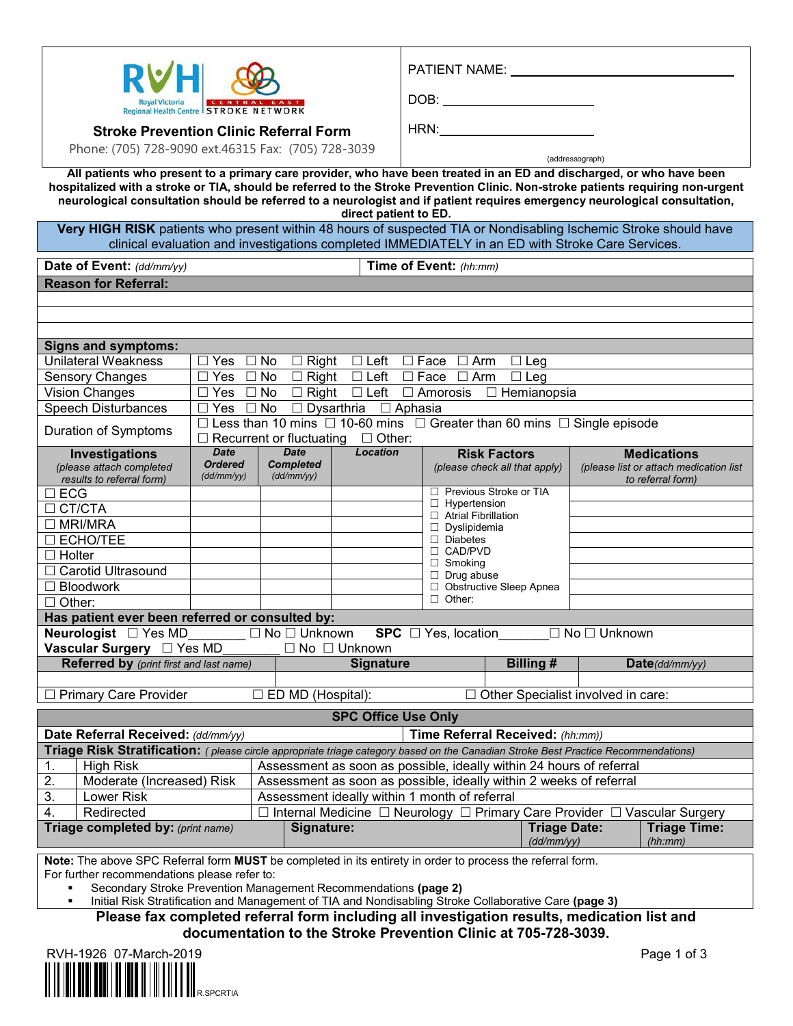|                                                                                                                                                                                                                                                         |                                                                                                                                    |                                             |                                                                                                                                                 |                                               |                                                                                              |                                   | PATIENT NAME: University PATIENT |                                                   |            |                                           |                                                                                   |  |
|---------------------------------------------------------------------------------------------------------------------------------------------------------------------------------------------------------------------------------------------------------|------------------------------------------------------------------------------------------------------------------------------------|---------------------------------------------|-------------------------------------------------------------------------------------------------------------------------------------------------|-----------------------------------------------|----------------------------------------------------------------------------------------------|-----------------------------------|----------------------------------|---------------------------------------------------|------------|-------------------------------------------|-----------------------------------------------------------------------------------|--|
|                                                                                                                                                                                                                                                         |                                                                                                                                    |                                             |                                                                                                                                                 |                                               |                                                                                              |                                   |                                  |                                                   |            |                                           |                                                                                   |  |
| Regional Health Centre STROKE NETWORK                                                                                                                                                                                                                   |                                                                                                                                    |                                             |                                                                                                                                                 |                                               |                                                                                              |                                   |                                  |                                                   |            |                                           |                                                                                   |  |
|                                                                                                                                                                                                                                                         | <b>Stroke Prevention Clinic Referral Form</b>                                                                                      |                                             |                                                                                                                                                 |                                               |                                                                                              |                                   | HRN:                             |                                                   |            |                                           |                                                                                   |  |
|                                                                                                                                                                                                                                                         | Phone: (705) 728-9090 ext.46315 Fax: (705) 728-3039                                                                                |                                             |                                                                                                                                                 |                                               |                                                                                              |                                   |                                  |                                                   |            |                                           |                                                                                   |  |
|                                                                                                                                                                                                                                                         |                                                                                                                                    |                                             |                                                                                                                                                 |                                               |                                                                                              |                                   |                                  |                                                   |            | (addressograph)                           |                                                                                   |  |
| All patients who present to a primary care provider, who have been treated in an ED and discharged, or who have been<br>hospitalized with a stroke or TIA, should be referred to the Stroke Prevention Clinic. Non-stroke patients requiring non-urgent |                                                                                                                                    |                                             |                                                                                                                                                 |                                               |                                                                                              |                                   |                                  |                                                   |            |                                           |                                                                                   |  |
| neurological consultation should be referred to a neurologist and if patient requires emergency neurological consultation,<br>direct patient to ED.                                                                                                     |                                                                                                                                    |                                             |                                                                                                                                                 |                                               |                                                                                              |                                   |                                  |                                                   |            |                                           |                                                                                   |  |
| Very HIGH RISK patients who present within 48 hours of suspected TIA or Nondisabling Ischemic Stroke should have<br>clinical evaluation and investigations completed IMMEDIATELY in an ED with Stroke Care Services.                                    |                                                                                                                                    |                                             |                                                                                                                                                 |                                               |                                                                                              |                                   |                                  |                                                   |            |                                           |                                                                                   |  |
|                                                                                                                                                                                                                                                         | Date of Event: (dd/mm/yy)                                                                                                          |                                             |                                                                                                                                                 |                                               |                                                                                              |                                   | Time of Event: (hh:mm)           |                                                   |            |                                           |                                                                                   |  |
|                                                                                                                                                                                                                                                         | <b>Reason for Referral:</b>                                                                                                        |                                             |                                                                                                                                                 |                                               |                                                                                              |                                   |                                  |                                                   |            |                                           |                                                                                   |  |
|                                                                                                                                                                                                                                                         |                                                                                                                                    |                                             |                                                                                                                                                 |                                               |                                                                                              |                                   |                                  |                                                   |            |                                           |                                                                                   |  |
|                                                                                                                                                                                                                                                         |                                                                                                                                    |                                             |                                                                                                                                                 |                                               |                                                                                              |                                   |                                  |                                                   |            |                                           |                                                                                   |  |
|                                                                                                                                                                                                                                                         |                                                                                                                                    |                                             |                                                                                                                                                 |                                               |                                                                                              |                                   |                                  |                                                   |            |                                           |                                                                                   |  |
|                                                                                                                                                                                                                                                         | <b>Signs and symptoms:</b><br><b>Unilateral Weakness</b>                                                                           |                                             |                                                                                                                                                 |                                               | $\Box$ Yes $\Box$ No $\Box$ Right $\Box$ Left $\Box$ Face $\Box$ Arm                         |                                   |                                  |                                                   | $\Box$ Leg |                                           |                                                                                   |  |
|                                                                                                                                                                                                                                                         | Sensory Changes                                                                                                                    |                                             |                                                                                                                                                 |                                               | $\Box$ Yes $\Box$ No $\Box$ Right $\Box$ Left                                                |                                   | $\Box$ Face $\Box$ Arm           |                                                   | $\Box$ Leg |                                           |                                                                                   |  |
|                                                                                                                                                                                                                                                         | Vision Changes                                                                                                                     |                                             |                                                                                                                                                 |                                               | □ Yes □ No □ Right □ Left □ Amorosis □ Hemianopsia                                           |                                   |                                  |                                                   |            |                                           |                                                                                   |  |
|                                                                                                                                                                                                                                                         | □ Yes □ No □ Dysarthria □ Aphasia<br><b>Speech Disturbances</b>                                                                    |                                             |                                                                                                                                                 |                                               |                                                                                              |                                   |                                  |                                                   |            |                                           |                                                                                   |  |
|                                                                                                                                                                                                                                                         | Duration of Symptoms                                                                                                               |                                             |                                                                                                                                                 |                                               | $\Box$ Less than 10 mins $\Box$ 10-60 mins $\Box$ Greater than 60 mins $\Box$ Single episode |                                   |                                  |                                                   |            |                                           |                                                                                   |  |
|                                                                                                                                                                                                                                                         |                                                                                                                                    |                                             |                                                                                                                                                 |                                               | $\Box$ Recurrent or fluctuating $\Box$ Other:                                                |                                   |                                  |                                                   |            |                                           |                                                                                   |  |
|                                                                                                                                                                                                                                                         | Investigations<br>(please attach completed<br>results to referral form)                                                            | <b>Date</b><br><b>Ordered</b><br>(dd/mm/yy) |                                                                                                                                                 | <b>Date</b><br><b>Completed</b><br>(dd/mm/yy) | <b>Location</b>                                                                              |                                   | (please check all that apply)    | <b>Risk Factors</b>                               |            |                                           | <b>Medications</b><br>(please list or attach medication list<br>to referral form) |  |
| $\square$ ECG                                                                                                                                                                                                                                           |                                                                                                                                    |                                             |                                                                                                                                                 |                                               |                                                                                              |                                   | □ Previous Stroke or TIA         |                                                   |            |                                           |                                                                                   |  |
| $\Box$ CT/CTA                                                                                                                                                                                                                                           |                                                                                                                                    |                                             |                                                                                                                                                 |                                               |                                                                                              |                                   |                                  | $\Box$ Hypertension<br>$\Box$ Atrial Fibrillation |            |                                           |                                                                                   |  |
| $\Box$ MRI/MRA                                                                                                                                                                                                                                          |                                                                                                                                    |                                             |                                                                                                                                                 |                                               |                                                                                              |                                   | $\Box$ Dyslipidemia              |                                                   |            |                                           |                                                                                   |  |
|                                                                                                                                                                                                                                                         | <b>DECHO/TEE</b>                                                                                                                   |                                             |                                                                                                                                                 |                                               |                                                                                              | $\Box$ Diabetes<br>$\Box$ CAD/PVD |                                  |                                                   |            |                                           |                                                                                   |  |
| $\Box$ Holter                                                                                                                                                                                                                                           |                                                                                                                                    |                                             |                                                                                                                                                 |                                               |                                                                                              | $\Box$ Smoking                    |                                  |                                                   |            |                                           |                                                                                   |  |
|                                                                                                                                                                                                                                                         | □ Carotid Ultrasound<br>$\Box$ Bloodwork                                                                                           |                                             |                                                                                                                                                 |                                               | $\Box$ Drug abuse                                                                            |                                   | □ Obstructive Sleep Apnea        |                                                   |            |                                           |                                                                                   |  |
| $\Box$ Other:                                                                                                                                                                                                                                           |                                                                                                                                    |                                             |                                                                                                                                                 |                                               |                                                                                              |                                   | $\Box$ Other:                    |                                                   |            |                                           |                                                                                   |  |
|                                                                                                                                                                                                                                                         | Has patient ever been referred or consulted by:                                                                                    |                                             |                                                                                                                                                 |                                               |                                                                                              |                                   |                                  |                                                   |            |                                           |                                                                                   |  |
|                                                                                                                                                                                                                                                         | Neurologist $\square$ Yes MD                                                                                                       |                                             |                                                                                                                                                 | $\Box$ No $\Box$ Unknown                      |                                                                                              |                                   | <b>SPC</b> $\Box$ Yes, location  |                                                   |            | $\Box$ No $\Box$ Unknown                  |                                                                                   |  |
|                                                                                                                                                                                                                                                         | Vascular Surgery □ Yes MD                                                                                                          |                                             |                                                                                                                                                 |                                               | $\Box$ No $\Box$ Unknown                                                                     |                                   |                                  |                                                   |            |                                           |                                                                                   |  |
|                                                                                                                                                                                                                                                         | Referred by (print first and last name)                                                                                            |                                             |                                                                                                                                                 |                                               | <b>Signature</b>                                                                             |                                   |                                  |                                                   | Billing #  |                                           | Date(ddmm/yy)                                                                     |  |
|                                                                                                                                                                                                                                                         |                                                                                                                                    |                                             |                                                                                                                                                 |                                               |                                                                                              |                                   |                                  |                                                   |            |                                           |                                                                                   |  |
|                                                                                                                                                                                                                                                         | □ Primary Care Provider                                                                                                            |                                             |                                                                                                                                                 | $\square$ ED MD (Hospital):                   |                                                                                              |                                   |                                  |                                                   |            | $\Box$ Other Specialist involved in care: |                                                                                   |  |
| <b>SPC Office Use Only</b>                                                                                                                                                                                                                              |                                                                                                                                    |                                             |                                                                                                                                                 |                                               |                                                                                              |                                   |                                  |                                                   |            |                                           |                                                                                   |  |
| Date Referral Received: (dd/mm/yy)<br>Time Referral Received: (hh:mm))                                                                                                                                                                                  |                                                                                                                                    |                                             |                                                                                                                                                 |                                               |                                                                                              |                                   |                                  |                                                   |            |                                           |                                                                                   |  |
|                                                                                                                                                                                                                                                         | Triage Risk Stratification: (please circle appropriate triage category based on the Canadian Stroke Best Practice Recommendations) |                                             |                                                                                                                                                 |                                               |                                                                                              |                                   |                                  |                                                   |            |                                           |                                                                                   |  |
| 1.                                                                                                                                                                                                                                                      | <b>High Risk</b>                                                                                                                   |                                             | Assessment as soon as possible, ideally within 24 hours of referral                                                                             |                                               |                                                                                              |                                   |                                  |                                                   |            |                                           |                                                                                   |  |
| 2.<br>3.                                                                                                                                                                                                                                                | Moderate (Increased) Risk<br>Lower Risk                                                                                            |                                             | Assessment as soon as possible, ideally within 2 weeks of referral                                                                              |                                               |                                                                                              |                                   |                                  |                                                   |            |                                           |                                                                                   |  |
| 4.                                                                                                                                                                                                                                                      | Redirected                                                                                                                         |                                             | Assessment ideally within 1 month of referral<br>$\Box$ Internal Medicine $\Box$ Neurology $\Box$ Primary Care Provider $\Box$ Vascular Surgery |                                               |                                                                                              |                                   |                                  |                                                   |            |                                           |                                                                                   |  |
| Triage completed by: (print name)<br>Signature:                                                                                                                                                                                                         |                                                                                                                                    |                                             |                                                                                                                                                 |                                               |                                                                                              |                                   |                                  | <b>Triage Date:</b><br>(d d/mm / y)               |            | <b>Triage Time:</b><br>(hh:mm)            |                                                                                   |  |
|                                                                                                                                                                                                                                                         |                                                                                                                                    |                                             |                                                                                                                                                 |                                               |                                                                                              |                                   |                                  |                                                   |            |                                           |                                                                                   |  |
| Note: The above SPC Referral form MUST be completed in its entirety in order to process the referral form.<br>For further recommendations please refer to:                                                                                              |                                                                                                                                    |                                             |                                                                                                                                                 |                                               |                                                                                              |                                   |                                  |                                                   |            |                                           |                                                                                   |  |

Secondary Stroke Prevention Management Recommendations **(page 2)**

**Initial Risk Stratification and Management of TIA and Nondisabling Stroke Collaborative Care (page 3)** 

**Please fax completed referral form including all investigation results, medication list and documentation to the Stroke Prevention Clinic at 705-728-3039.**

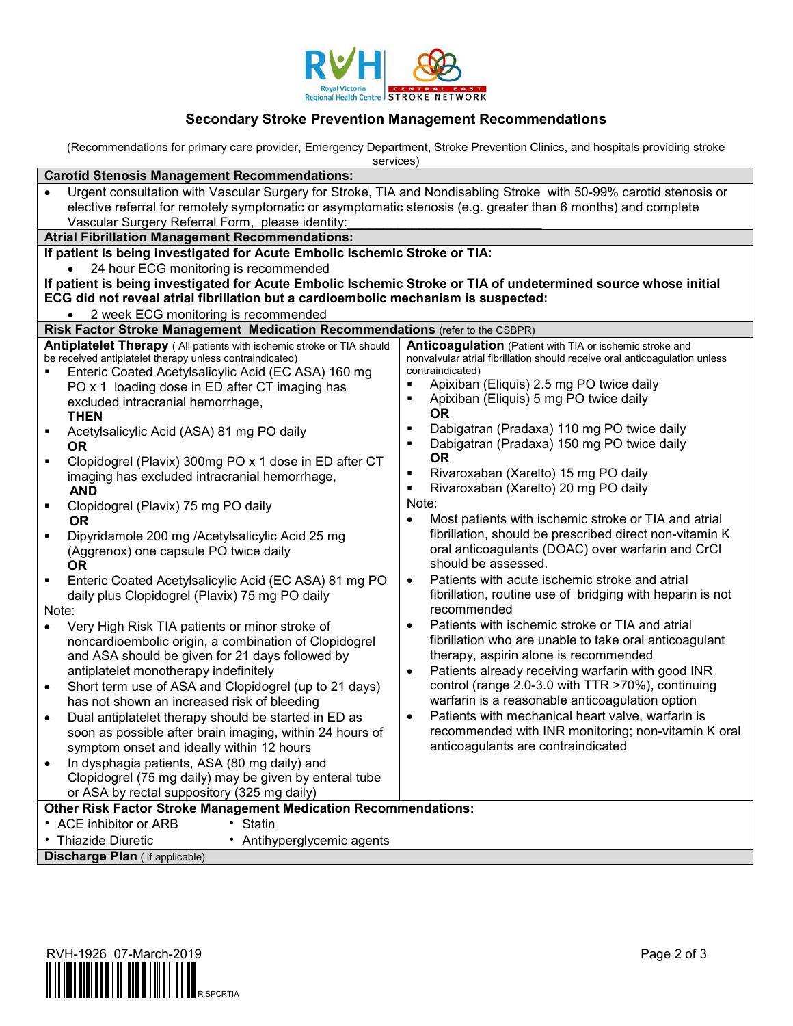

## **Secondary Stroke Prevention Management Recommendations**

(Recommendations for primary care provider, Emergency Department, Stroke Prevention Clinics, and hospitals providing stroke

| services)                                                                                                                                                                                                                                                                                                                                                                                                                                                                                                                                                                                                                                                                                                                                                                                                                                                                                                                                                                                                                                                                                                                                                                                                                                                                                                                                                                                                                       |                                                                                                                                                                                                                                                                                                                                                                                                                                                                                                                                                                                                                                                                                                                                                                                                                                                                                                                                                                                                                                                                                                                                                                                                                                                                                     |  |  |  |  |  |  |  |  |
|---------------------------------------------------------------------------------------------------------------------------------------------------------------------------------------------------------------------------------------------------------------------------------------------------------------------------------------------------------------------------------------------------------------------------------------------------------------------------------------------------------------------------------------------------------------------------------------------------------------------------------------------------------------------------------------------------------------------------------------------------------------------------------------------------------------------------------------------------------------------------------------------------------------------------------------------------------------------------------------------------------------------------------------------------------------------------------------------------------------------------------------------------------------------------------------------------------------------------------------------------------------------------------------------------------------------------------------------------------------------------------------------------------------------------------|-------------------------------------------------------------------------------------------------------------------------------------------------------------------------------------------------------------------------------------------------------------------------------------------------------------------------------------------------------------------------------------------------------------------------------------------------------------------------------------------------------------------------------------------------------------------------------------------------------------------------------------------------------------------------------------------------------------------------------------------------------------------------------------------------------------------------------------------------------------------------------------------------------------------------------------------------------------------------------------------------------------------------------------------------------------------------------------------------------------------------------------------------------------------------------------------------------------------------------------------------------------------------------------|--|--|--|--|--|--|--|--|
| <b>Carotid Stenosis Management Recommendations:</b>                                                                                                                                                                                                                                                                                                                                                                                                                                                                                                                                                                                                                                                                                                                                                                                                                                                                                                                                                                                                                                                                                                                                                                                                                                                                                                                                                                             |                                                                                                                                                                                                                                                                                                                                                                                                                                                                                                                                                                                                                                                                                                                                                                                                                                                                                                                                                                                                                                                                                                                                                                                                                                                                                     |  |  |  |  |  |  |  |  |
| Urgent consultation with Vascular Surgery for Stroke, TIA and Nondisabling Stroke with 50-99% carotid stenosis or<br>elective referral for remotely symptomatic or asymptomatic stenosis (e.g. greater than 6 months) and complete<br>Vascular Surgery Referral Form, please identity:                                                                                                                                                                                                                                                                                                                                                                                                                                                                                                                                                                                                                                                                                                                                                                                                                                                                                                                                                                                                                                                                                                                                          |                                                                                                                                                                                                                                                                                                                                                                                                                                                                                                                                                                                                                                                                                                                                                                                                                                                                                                                                                                                                                                                                                                                                                                                                                                                                                     |  |  |  |  |  |  |  |  |
| <b>Atrial Fibrillation Management Recommendations:</b>                                                                                                                                                                                                                                                                                                                                                                                                                                                                                                                                                                                                                                                                                                                                                                                                                                                                                                                                                                                                                                                                                                                                                                                                                                                                                                                                                                          |                                                                                                                                                                                                                                                                                                                                                                                                                                                                                                                                                                                                                                                                                                                                                                                                                                                                                                                                                                                                                                                                                                                                                                                                                                                                                     |  |  |  |  |  |  |  |  |
| If patient is being investigated for Acute Embolic Ischemic Stroke or TIA:                                                                                                                                                                                                                                                                                                                                                                                                                                                                                                                                                                                                                                                                                                                                                                                                                                                                                                                                                                                                                                                                                                                                                                                                                                                                                                                                                      |                                                                                                                                                                                                                                                                                                                                                                                                                                                                                                                                                                                                                                                                                                                                                                                                                                                                                                                                                                                                                                                                                                                                                                                                                                                                                     |  |  |  |  |  |  |  |  |
| 24 hour ECG monitoring is recommended                                                                                                                                                                                                                                                                                                                                                                                                                                                                                                                                                                                                                                                                                                                                                                                                                                                                                                                                                                                                                                                                                                                                                                                                                                                                                                                                                                                           |                                                                                                                                                                                                                                                                                                                                                                                                                                                                                                                                                                                                                                                                                                                                                                                                                                                                                                                                                                                                                                                                                                                                                                                                                                                                                     |  |  |  |  |  |  |  |  |
| If patient is being investigated for Acute Embolic Ischemic Stroke or TIA of undetermined source whose initial                                                                                                                                                                                                                                                                                                                                                                                                                                                                                                                                                                                                                                                                                                                                                                                                                                                                                                                                                                                                                                                                                                                                                                                                                                                                                                                  |                                                                                                                                                                                                                                                                                                                                                                                                                                                                                                                                                                                                                                                                                                                                                                                                                                                                                                                                                                                                                                                                                                                                                                                                                                                                                     |  |  |  |  |  |  |  |  |
| ECG did not reveal atrial fibrillation but a cardioembolic mechanism is suspected:                                                                                                                                                                                                                                                                                                                                                                                                                                                                                                                                                                                                                                                                                                                                                                                                                                                                                                                                                                                                                                                                                                                                                                                                                                                                                                                                              |                                                                                                                                                                                                                                                                                                                                                                                                                                                                                                                                                                                                                                                                                                                                                                                                                                                                                                                                                                                                                                                                                                                                                                                                                                                                                     |  |  |  |  |  |  |  |  |
| 2 week ECG monitoring is recommended                                                                                                                                                                                                                                                                                                                                                                                                                                                                                                                                                                                                                                                                                                                                                                                                                                                                                                                                                                                                                                                                                                                                                                                                                                                                                                                                                                                            |                                                                                                                                                                                                                                                                                                                                                                                                                                                                                                                                                                                                                                                                                                                                                                                                                                                                                                                                                                                                                                                                                                                                                                                                                                                                                     |  |  |  |  |  |  |  |  |
| Risk Factor Stroke Management Medication Recommendations (refer to the CSBPR)                                                                                                                                                                                                                                                                                                                                                                                                                                                                                                                                                                                                                                                                                                                                                                                                                                                                                                                                                                                                                                                                                                                                                                                                                                                                                                                                                   |                                                                                                                                                                                                                                                                                                                                                                                                                                                                                                                                                                                                                                                                                                                                                                                                                                                                                                                                                                                                                                                                                                                                                                                                                                                                                     |  |  |  |  |  |  |  |  |
| Antiplatelet Therapy (All patients with ischemic stroke or TIA should<br>be received antiplatelet therapy unless contraindicated)<br>Enteric Coated Acetylsalicylic Acid (EC ASA) 160 mg<br>PO x 1 loading dose in ED after CT imaging has<br>excluded intracranial hemorrhage,<br><b>THEN</b><br>Acetylsalicylic Acid (ASA) 81 mg PO daily<br>٠<br>0R<br>Clopidogrel (Plavix) 300mg PO x 1 dose in ED after CT<br>٠<br>imaging has excluded intracranial hemorrhage,<br><b>AND</b><br>Clopidogrel (Plavix) 75 mg PO daily<br>٠<br><b>OR</b><br>Dipyridamole 200 mg /Acetylsalicylic Acid 25 mg<br>(Aggrenox) one capsule PO twice daily<br><b>OR</b><br>Enteric Coated Acetylsalicylic Acid (EC ASA) 81 mg PO<br>daily plus Clopidogrel (Plavix) 75 mg PO daily<br>Note:<br>Very High Risk TIA patients or minor stroke of<br>noncardioembolic origin, a combination of Clopidogrel<br>and ASA should be given for 21 days followed by<br>antiplatelet monotherapy indefinitely<br>Short term use of ASA and Clopidogrel (up to 21 days)<br>$\bullet$<br>has not shown an increased risk of bleeding<br>Dual antiplatelet therapy should be started in ED as<br>soon as possible after brain imaging, within 24 hours of<br>symptom onset and ideally within 12 hours<br>In dysphagia patients, ASA (80 mg daily) and<br>Clopidogrel (75 mg daily) may be given by enteral tube<br>or ASA by rectal suppository (325 mg daily) | Anticoagulation (Patient with TIA or ischemic stroke and<br>nonvalvular atrial fibrillation should receive oral anticoagulation unless<br>contraindicated)<br>Apixiban (Eliquis) 2.5 mg PO twice daily<br>Apixiban (Eliquis) 5 mg PO twice daily<br><b>OR</b><br>Dabigatran (Pradaxa) 110 mg PO twice daily<br>٠<br>Dabigatran (Pradaxa) 150 mg PO twice daily<br><b>OR</b><br>Rivaroxaban (Xarelto) 15 mg PO daily<br>Rivaroxaban (Xarelto) 20 mg PO daily<br>Note:<br>Most patients with ischemic stroke or TIA and atrial<br>fibrillation, should be prescribed direct non-vitamin K<br>oral anticoagulants (DOAC) over warfarin and CrCl<br>should be assessed.<br>Patients with acute ischemic stroke and atrial<br>fibrillation, routine use of bridging with heparin is not<br>recommended<br>Patients with ischemic stroke or TIA and atrial<br>fibrillation who are unable to take oral anticoagulant<br>therapy, aspirin alone is recommended<br>Patients already receiving warfarin with good INR<br>control (range 2.0-3.0 with TTR >70%), continuing<br>warfarin is a reasonable anticoagulation option<br>Patients with mechanical heart valve, warfarin is<br>$\bullet$<br>recommended with INR monitoring; non-vitamin K oral<br>anticoagulants are contraindicated |  |  |  |  |  |  |  |  |
| <b>Other Risk Factor Stroke Management Medication Recommendations:</b>                                                                                                                                                                                                                                                                                                                                                                                                                                                                                                                                                                                                                                                                                                                                                                                                                                                                                                                                                                                                                                                                                                                                                                                                                                                                                                                                                          |                                                                                                                                                                                                                                                                                                                                                                                                                                                                                                                                                                                                                                                                                                                                                                                                                                                                                                                                                                                                                                                                                                                                                                                                                                                                                     |  |  |  |  |  |  |  |  |
| • ACE inhibitor or ARB<br>• Statin                                                                                                                                                                                                                                                                                                                                                                                                                                                                                                                                                                                                                                                                                                                                                                                                                                                                                                                                                                                                                                                                                                                                                                                                                                                                                                                                                                                              |                                                                                                                                                                                                                                                                                                                                                                                                                                                                                                                                                                                                                                                                                                                                                                                                                                                                                                                                                                                                                                                                                                                                                                                                                                                                                     |  |  |  |  |  |  |  |  |
| • Thiazide Diuretic<br>• Antihyperglycemic agents                                                                                                                                                                                                                                                                                                                                                                                                                                                                                                                                                                                                                                                                                                                                                                                                                                                                                                                                                                                                                                                                                                                                                                                                                                                                                                                                                                               |                                                                                                                                                                                                                                                                                                                                                                                                                                                                                                                                                                                                                                                                                                                                                                                                                                                                                                                                                                                                                                                                                                                                                                                                                                                                                     |  |  |  |  |  |  |  |  |
| Discharge Plan (if applicable)                                                                                                                                                                                                                                                                                                                                                                                                                                                                                                                                                                                                                                                                                                                                                                                                                                                                                                                                                                                                                                                                                                                                                                                                                                                                                                                                                                                                  |                                                                                                                                                                                                                                                                                                                                                                                                                                                                                                                                                                                                                                                                                                                                                                                                                                                                                                                                                                                                                                                                                                                                                                                                                                                                                     |  |  |  |  |  |  |  |  |